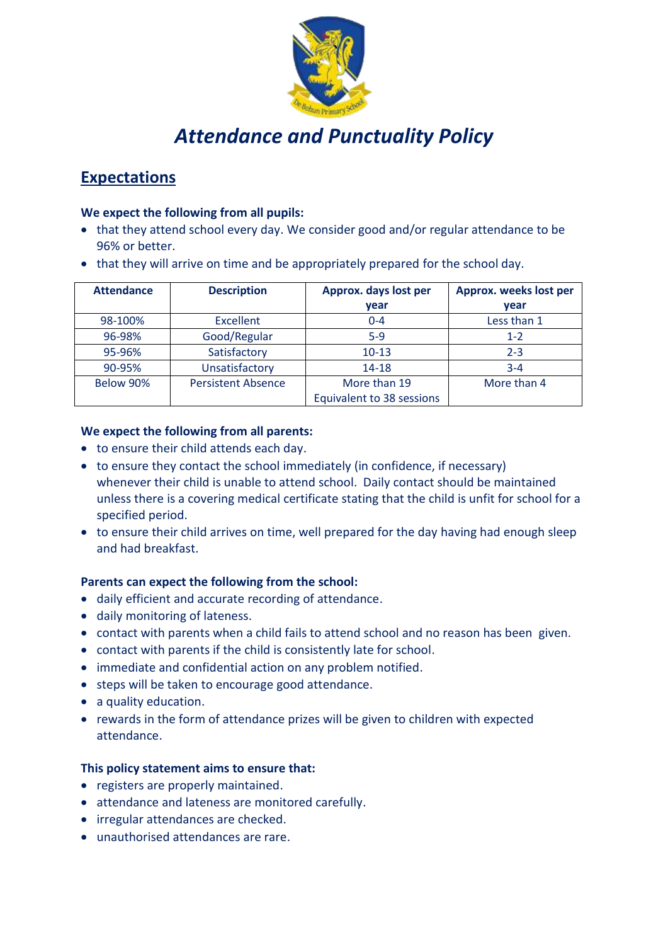

# *Attendance and Punctuality Policy*

# **Expectations**

# **We expect the following from all pupils:**

- that they attend school every day. We consider good and/or regular attendance to be 96% or better.
- that they will arrive on time and be appropriately prepared for the school day.

| <b>Attendance</b> | <b>Description</b>        | Approx. days lost per     | Approx. weeks lost per |
|-------------------|---------------------------|---------------------------|------------------------|
|                   |                           | year                      | year                   |
| 98-100%           | Excellent                 | $0 - 4$                   | Less than 1            |
| 96-98%            | Good/Regular              | $5-9$                     | $1 - 2$                |
| 95-96%            | Satisfactory              | $10-13$                   | $2 - 3$                |
| 90-95%            | Unsatisfactory            | 14-18                     | $3 - 4$                |
| Below 90%         | <b>Persistent Absence</b> | More than 19              | More than 4            |
|                   |                           | Equivalent to 38 sessions |                        |

## **We expect the following from all parents:**

- to ensure their child attends each day.
- to ensure they contact the school immediately (in confidence, if necessary) whenever their child is unable to attend school. Daily contact should be maintained unless there is a covering medical certificate stating that the child is unfit for school for a specified period.
- to ensure their child arrives on time, well prepared for the day having had enough sleep and had breakfast.

# **Parents can expect the following from the school:**

- daily efficient and accurate recording of attendance.
- daily monitoring of lateness.
- contact with parents when a child fails to attend school and no reason has been given.
- contact with parents if the child is consistently late for school.
- immediate and confidential action on any problem notified.
- steps will be taken to encourage good attendance.
- a quality education.
- rewards in the form of attendance prizes will be given to children with expected attendance.

#### **This policy statement aims to ensure that:**

- registers are properly maintained.
- attendance and lateness are monitored carefully.
- irregular attendances are checked.
- unauthorised attendances are rare.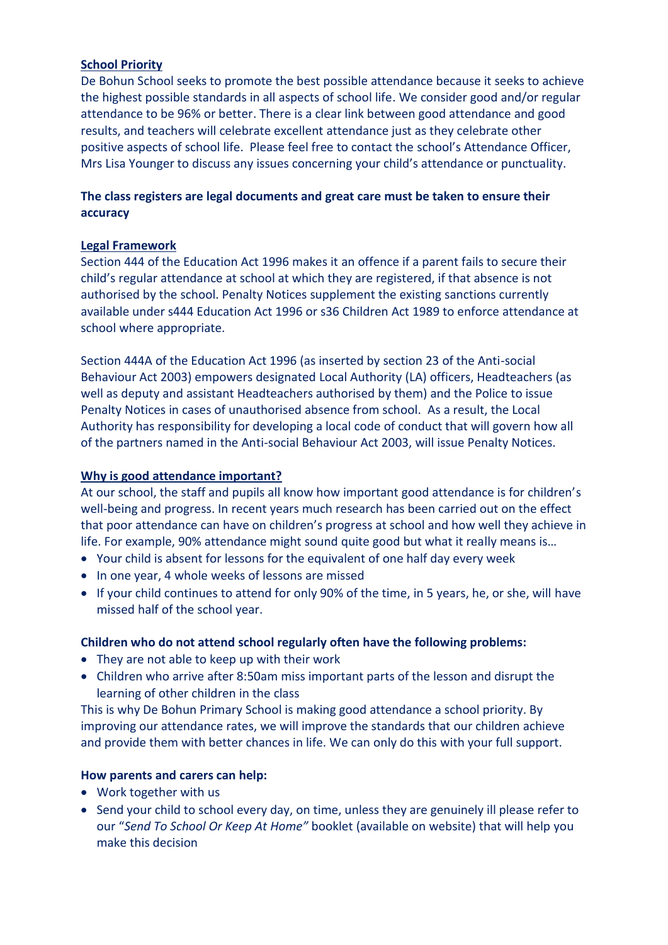#### **School Priority**

De Bohun School seeks to promote the best possible attendance because it seeks to achieve the highest possible standards in all aspects of school life. We consider good and/or regular attendance to be 96% or better. There is a clear link between good attendance and good results, and teachers will celebrate excellent attendance just as they celebrate other positive aspects of school life. Please feel free to contact the school's Attendance Officer, Mrs Lisa Younger to discuss any issues concerning your child's attendance or punctuality.

# **The class registers are legal documents and great care must be taken to ensure their accuracy**

#### **Legal Framework**

Section 444 of the Education Act 1996 makes it an offence if a parent fails to secure their child's regular attendance at school at which they are registered, if that absence is not authorised by the school. Penalty Notices supplement the existing sanctions currently available under s444 Education Act 1996 or s36 Children Act 1989 to enforce attendance at school where appropriate.

Section 444A of the Education Act 1996 (as inserted by section 23 of the Anti-social Behaviour Act 2003) empowers designated Local Authority (LA) officers, Headteachers (as well as deputy and assistant Headteachers authorised by them) and the Police to issue Penalty Notices in cases of unauthorised absence from school. As a result, the Local Authority has responsibility for developing a local code of conduct that will govern how all of the partners named in the Anti-social Behaviour Act 2003, will issue Penalty Notices.

#### **Why is good attendance important?**

At our school, the staff and pupils all know how important good attendance is for children's well-being and progress. In recent years much research has been carried out on the effect that poor attendance can have on children's progress at school and how well they achieve in life. For example, 90% attendance might sound quite good but what it really means is…

- Your child is absent for lessons for the equivalent of one half day every week
- In one year, 4 whole weeks of lessons are missed
- If your child continues to attend for only 90% of the time, in 5 years, he, or she, will have missed half of the school year.

#### **Children who do not attend school regularly often have the following problems:**

- They are not able to keep up with their work
- Children who arrive after 8:50am miss important parts of the lesson and disrupt the learning of other children in the class

This is why De Bohun Primary School is making good attendance a school priority. By improving our attendance rates, we will improve the standards that our children achieve and provide them with better chances in life. We can only do this with your full support.

#### **How parents and carers can help:**

- Work together with us
- Send your child to school every day, on time, unless they are genuinely ill please refer to our "*Send To School Or Keep At Home"* booklet (available on website) that will help you make this decision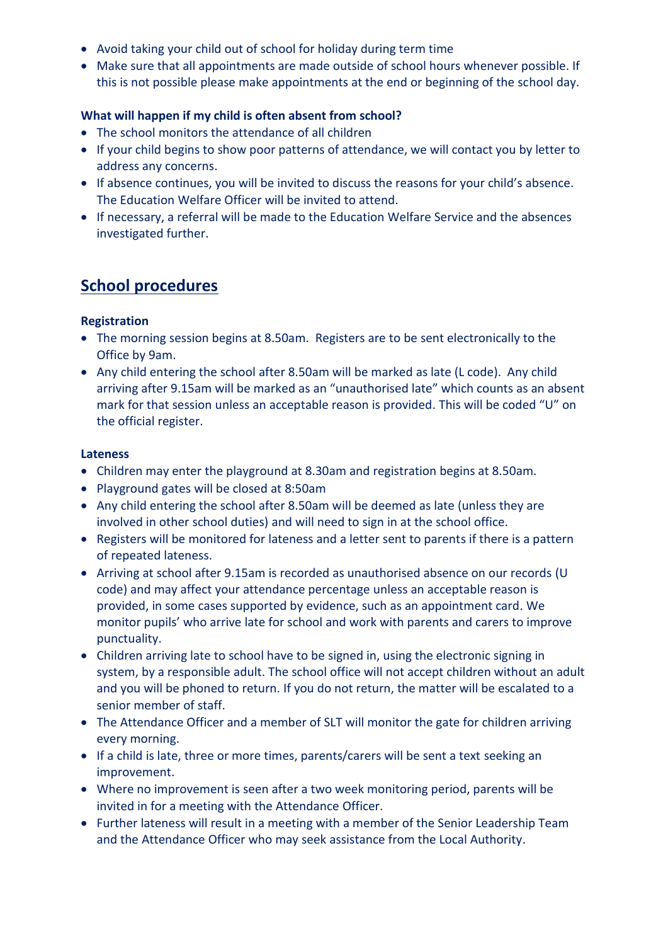- Avoid taking your child out of school for holiday during term time
- Make sure that all appointments are made outside of school hours whenever possible. If this is not possible please make appointments at the end or beginning of the school day.

# **What will happen if my child is often absent from school?**

- The school monitors the attendance of all children
- If your child begins to show poor patterns of attendance, we will contact you by letter to address any concerns.
- If absence continues, you will be invited to discuss the reasons for your child's absence. The Education Welfare Officer will be invited to attend.
- If necessary, a referral will be made to the Education Welfare Service and the absences investigated further.

# **School procedures**

## **Registration**

- The morning session begins at 8.50am. Registers are to be sent electronically to the Office by 9am.
- Any child entering the school after 8.50am will be marked as late (L code). Any child arriving after 9.15am will be marked as an "unauthorised late" which counts as an absent mark for that session unless an acceptable reason is provided. This will be coded "U" on the official register.

#### **Lateness**

- Children may enter the playground at 8.30am and registration begins at 8.50am.
- Playground gates will be closed at 8:50am
- Any child entering the school after 8.50am will be deemed as late (unless they are involved in other school duties) and will need to sign in at the school office.
- Registers will be monitored for lateness and a letter sent to parents if there is a pattern of repeated lateness.
- Arriving at school after 9.15am is recorded as unauthorised absence on our records (U code) and may affect your attendance percentage unless an acceptable reason is provided, in some cases supported by evidence, such as an appointment card. We monitor pupils' who arrive late for school and work with parents and carers to improve punctuality.
- Children arriving late to school have to be signed in, using the electronic signing in system, by a responsible adult. The school office will not accept children without an adult and you will be phoned to return. If you do not return, the matter will be escalated to a senior member of staff.
- The Attendance Officer and a member of SLT will monitor the gate for children arriving every morning.
- If a child is late, three or more times, parents/carers will be sent a text seeking an improvement.
- Where no improvement is seen after a two week monitoring period, parents will be invited in for a meeting with the Attendance Officer.
- Further lateness will result in a meeting with a member of the Senior Leadership Team and the Attendance Officer who may seek assistance from the Local Authority.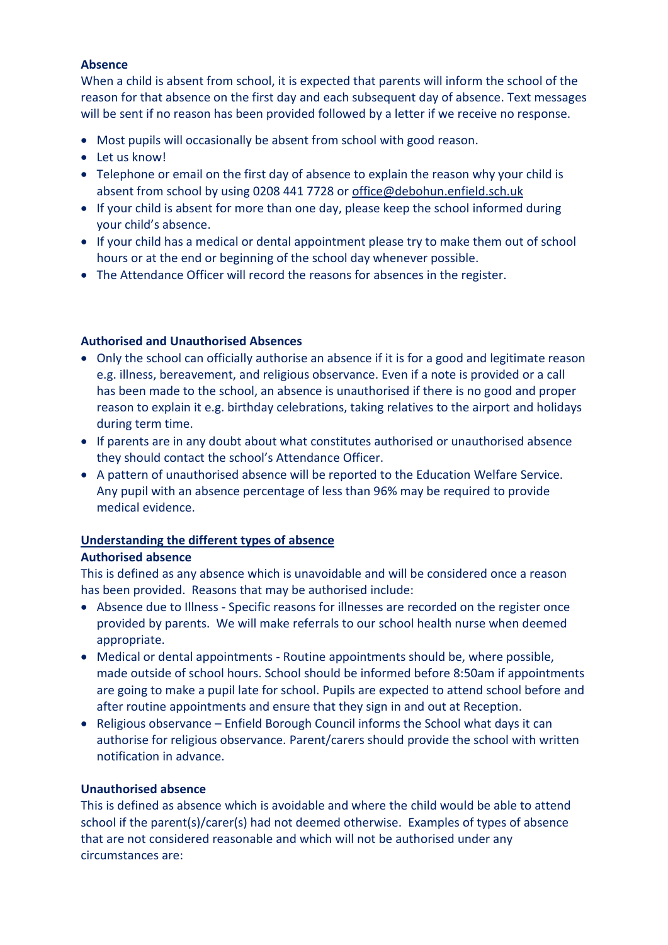#### **Absence**

When a child is absent from school, it is expected that parents will inform the school of the reason for that absence on the first day and each subsequent day of absence. Text messages will be sent if no reason has been provided followed by a letter if we receive no response.

- Most pupils will occasionally be absent from school with good reason.
- [Let us know!](http://www.warehamstmary.dorset.sch.uk/contact-us/)
- Telephone or email on the first day of absence to explain the reason why your child is absent from school by using 0208 441 7728 or [office@debohun.enfield.sch.uk](mailto:office@debohun.enfield.sch.uk)
- If your child is absent for more than one day, please keep the school informed during your child's absence.
- If your child has a medical or dental appointment please try to make them out of school hours or at the end or beginning of the school day whenever possible.
- The Attendance Officer will record the reasons for absences in the register.

## **Authorised and Unauthorised Absences**

- Only the school can officially authorise an absence if it is for a good and legitimate reason e.g. illness, bereavement, and religious observance. Even if a note is provided or a call has been made to the school, an absence is unauthorised if there is no good and proper reason to explain it e.g. birthday celebrations, taking relatives to the airport and holidays during term time.
- If parents are in any doubt about what constitutes authorised or unauthorised absence they should contact the school's Attendance Officer.
- A pattern of unauthorised absence will be reported to the Education Welfare Service. Any pupil with an absence percentage of less than 96% may be required to provide medical evidence.

# **Understanding the different types of absence**

#### **Authorised absence**

This is defined as any absence which is unavoidable and will be considered once a reason has been provided. Reasons that may be authorised include:

- Absence due to Illness Specific reasons for illnesses are recorded on the register once provided by parents. We will make referrals to our school health nurse when deemed appropriate.
- Medical or dental appointments Routine appointments should be, where possible, made outside of school hours. School should be informed before 8:50am if appointments are going to make a pupil late for school. Pupils are expected to attend school before and after routine appointments and ensure that they sign in and out at Reception.
- Religious observance Enfield Borough Council informs the School what days it can authorise for religious observance. Parent/carers should provide the school with written notification in advance.

#### **Unauthorised absence**

This is defined as absence which is avoidable and where the child would be able to attend school if the parent(s)/carer(s) had not deemed otherwise. Examples of types of absence that are not considered reasonable and which will not be authorised under any circumstances are: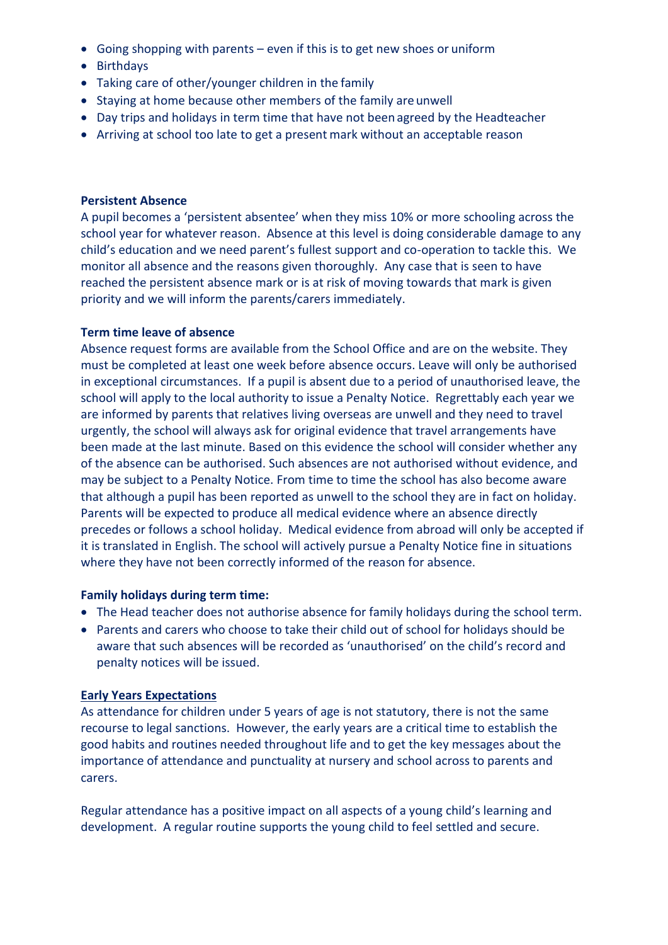- Going shopping with parents even if this is to get new shoes or uniform
- Birthdays
- Taking care of other/younger children in the family
- Staying at home because other members of the family are unwell
- Day trips and holidays in term time that have not beenagreed by the Headteacher
- Arriving at school too late to get a present mark without an acceptable reason

#### **Persistent Absence**

A pupil becomes a 'persistent absentee' when they miss 10% or more schooling across the school year for whatever reason. Absence at this level is doing considerable damage to any child's education and we need parent's fullest support and co-operation to tackle this. We monitor all absence and the reasons given thoroughly. Any case that is seen to have reached the persistent absence mark or is at risk of moving towards that mark is given priority and we will inform the parents/carers immediately.

#### **Term time leave of absence**

Absence request forms are available from the School Office and are on the website. They must be completed at least one week before absence occurs. Leave will only be authorised in exceptional circumstances. If a pupil is absent due to a period of unauthorised leave, the school will apply to the local authority to issue a Penalty Notice. Regrettably each year we are informed by parents that relatives living overseas are unwell and they need to travel urgently, the school will always ask for original evidence that travel arrangements have been made at the last minute. Based on this evidence the school will consider whether any of the absence can be authorised. Such absences are not authorised without evidence, and may be subject to a Penalty Notice. From time to time the school has also become aware that although a pupil has been reported as unwell to the school they are in fact on holiday. Parents will be expected to produce all medical evidence where an absence directly precedes or follows a school holiday. Medical evidence from abroad will only be accepted if it is translated in English. The school will actively pursue a Penalty Notice fine in situations where they have not been correctly informed of the reason for absence.

#### **Family holidays during term time:**

- The Head teacher does not authorise absence for family holidays during the school term.
- Parents and carers who choose to take their child out of school for holidays should be aware that such absences will be recorded as 'unauthorised' on the child's record and penalty notices will be issued.

#### **Early Years Expectations**

As attendance for children under 5 years of age is not statutory, there is not the same recourse to legal sanctions. However, the early years are a critical time to establish the good habits and routines needed throughout life and to get the key messages about the importance of attendance and punctuality at nursery and school across to parents and carers.

Regular attendance has a positive impact on all aspects of a young child's learning and development. A regular routine supports the young child to feel settled and secure.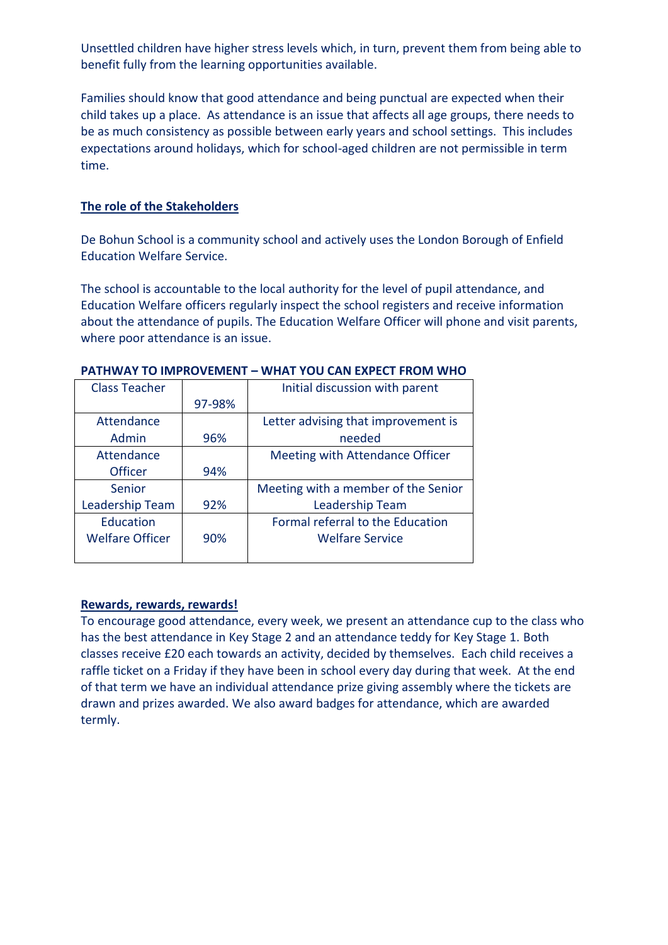Unsettled children have higher stress levels which, in turn, prevent them from being able to benefit fully from the learning opportunities available.

Families should know that good attendance and being punctual are expected when their child takes up a place. As attendance is an issue that affects all age groups, there needs to be as much consistency as possible between early years and school settings. This includes expectations around holidays, which for school-aged children are not permissible in term time.

# **The role of the Stakeholders**

De Bohun School is a community school and actively uses the London Borough of Enfield Education Welfare Service.

The school is accountable to the local authority for the level of pupil attendance, and Education Welfare officers regularly inspect the school registers and receive information about the attendance of pupils. The Education Welfare Officer will phone and visit parents, where poor attendance is an issue.

| <b>Class Teacher</b>   |        | Initial discussion with parent      |
|------------------------|--------|-------------------------------------|
|                        | 97-98% |                                     |
| Attendance             |        | Letter advising that improvement is |
| Admin                  | 96%    | needed                              |
| Attendance             |        | Meeting with Attendance Officer     |
| Officer                | 94%    |                                     |
| Senior                 |        | Meeting with a member of the Senior |
| <b>Leadership Team</b> | 92%    | <b>Leadership Team</b>              |
| Education              |        | Formal referral to the Education    |
| <b>Welfare Officer</b> | 90%    | <b>Welfare Service</b>              |
|                        |        |                                     |

#### **PATHWAY TO IMPROVEMENT – WHAT YOU CAN EXPECT FROM WHO**

#### **Rewards, rewards, rewards!**

To encourage good attendance, every week, we present an attendance cup to the class who has the best attendance in Key Stage 2 and an attendance teddy for Key Stage 1. Both classes receive £20 each towards an activity, decided by themselves. Each child receives a raffle ticket on a Friday if they have been in school every day during that week. At the end of that term we have an individual attendance prize giving assembly where the tickets are drawn and prizes awarded. We also award badges for attendance, which are awarded termly.